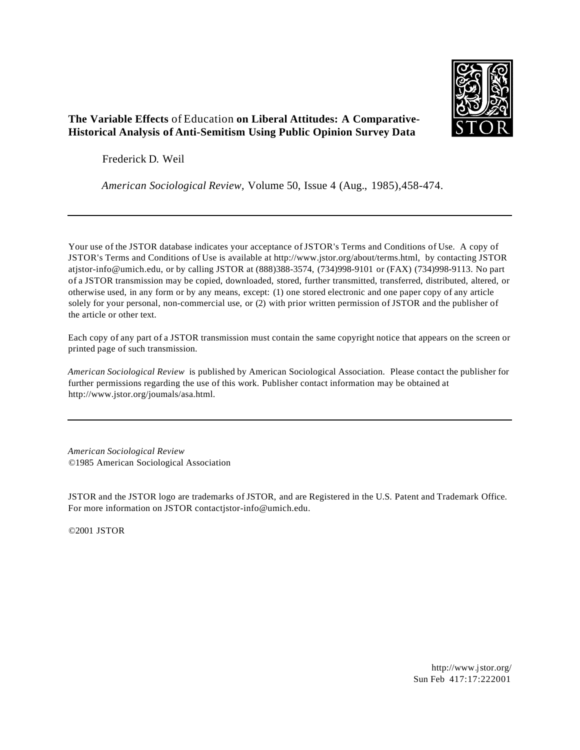

# **The Variable Effects** of Education **on Liberal Attitudes: A Comparative-Historical Analysis of Anti-Semitism Using Public Opinion Survey Data**

Frederick D. Weil

*American Sociological Review,* Volume 50, Issue 4 (Aug., 1985),458-474.

Your use of the JSTOR database indicates your acceptance ofJSTOR's Terms and Conditions of Use. A copy of JSTOR's Terms and Conditions of Use is available at http://www.jstor.org/about/terms.html, by contacting JSTOR atjstor-info@umich.edu, or by calling JSTOR at (888)388-3574, (734)998-9101 or (FAX) (734)998-9113. No part of a JSTOR transmission may be copied, downloaded, stored, further transmitted, transferred, distributed, altered, or otherwise used, in any form or by any means, except: (1) one stored electronic and one paper copy of any article solely for your personal, non-commercial use, or (2) with prior written permission of JSTOR and the publisher of the article or other text.

Each copy of any part of a JSTOR transmission must contain the same copyright notice that appears on the screen or printed page of such transmission.

*American Sociological Review* is published by American Sociological Association. Please contact the publisher for further permissions regarding the use of this work. Publisher contact information may be obtained at http://www.jstor.org/joumals/asa.html.

*American Sociological Review* ©1985 American Sociological Association

JSTOR and the JSTOR logo are trademarks of JSTOR, and are Registered in the U.S. Patent and Trademark Office. For more information on JSTOR contactjstor-info@umich.edu.

©2001 JSTOR

http://www.jstor.org/ Sun Feb 417:17:222001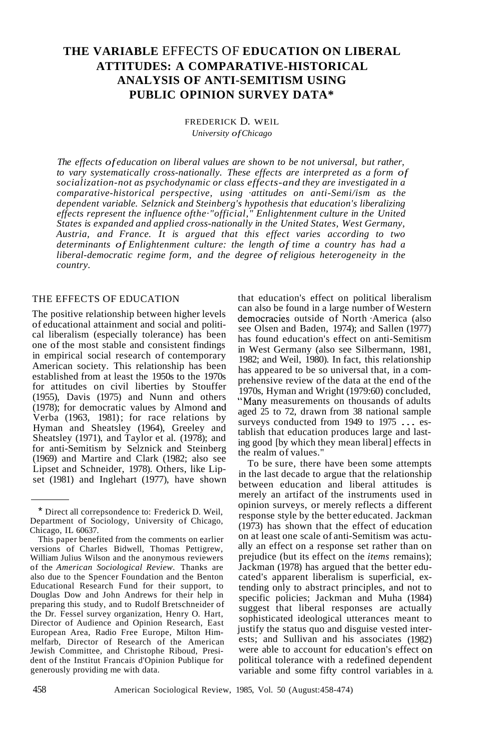# **THE VARIABLE** EFFECTS OF **EDUCATION ON LIBERAL ATTITUDES: A COMPARATIVE-HISTORICAL ANALYSIS OF ANTI-SEMITISM USING PUBLIC OPINION SURVEY DATA\***

# FREDERICK D. WElL *University ofChicago*

*The effects of education on liberal values are shown to be not universal, but rather, to vary systematically cross-nationally. These effects are interpreted as a form of socialization-not as psychodynamic or class effects-and they are investigated in a comparative-historical perspective, using ·attitudes on anti-Semi/ism as the dependent variable. Selznick and Steinberg's hypothesis that education's liberalizing effects represent the influence ofthe·"official," Enlightenment culture in the United States is expanded and applied cross-nationally in the United States, West Germany, Austria, and France. It is argued that this effect varies according to two determinants of Enlightenment culture: the length of time a country has had a liberal-democratic regime form, and the degree of religious heterogeneity in the country.*

# THE EFFECTS OF EDUCATION

The positive relationship between higher levels of educational attainment and social and political liberalism (especially tolerance) has been one of the most stable and consistent findings in empirical social research of contemporary American society. This relationship has been established from at least the 1950s to the 1970s for attitudes on civil liberties by Stouffer (1955), Davis (1975) and Nunn and others (1978); for democratic values by Almond and; Verba (1963, 1981); for race relations by Hyman and Sheatsley (1964), Greeley and Sheatsley (1971), and Taylor et al. (1978); and for anti-Semitism by Selznick and Steinberg (1969) and Martire and Clark (1982; also see Lipset and Schneider, 1978). Others, like Lipset (1981) and Inglehart (1977), have shown

that education's effect on political liberalism can also be found in a large number of Western democracies outside of North ·America (also see Olsen and Baden, 1974); and Sallen (1977) has found education's effect on anti-Semitism in West Germany (also see Silbermann, 1981, 1982; and Weil, 1980). In fact, this relationship has appeared to be so universal that, in a comprehensive review of the data at the end of the 1970s, Hyman and Wright (1979:60) concluded, "Many measurements on thousands of adults aged 25 to 72, drawn from 38 national sample surveys conducted from 1949 to 1975 ... establish that education produces large and lasting good [by which they mean liberal] effects in the realm of values."

To be sure, there have been some attempts in the last decade to argue that the relationship between education and liberal attitudes is merely an artifact of the instruments used in opinion surveys, or merely reflects a different response style by the better educated. Jackman (1973) has shown that the effect of education on at least one scale of anti-Semitism was actually an effect on a response set rather than on prejudice (but its effect on the *items* remains); Jackman (1978) has argued that the better educated's apparent liberalism is superficial, extending only to abstract principles, and not to specific policies; Jackman and Muha (1984) suggest that liberal responses are actually sophisticated ideological utterances meant to justify the status quo and disguise vested interests; and Sullivan and his associates (1982) were able to account for education's effect on political tolerance with a redefined dependent variable and some fifty control variables in a.

<sup>\*</sup> Direct all correpsondence to: Frederick D. Weil, Department of Sociology, University of Chicago, Chicago, IL 60637.

This paper benefited from the comments on earlier versions of Charles Bidwell, Thomas Pettigrew, William Julius Wilson and the anonymous reviewers of the *American Sociological Review.* Thanks are also due to the Spencer Foundation and the Benton Educational Research Fund for their support, to Douglas Dow and John Andrews for their help in preparing this study, and to Rudolf Bretschneider of the Dr. Fessel survey organization, Henry O. Hart, Director of Audience and Opinion Research, East European Area, Radio Free Europe, Milton Himmelfarb, Director of Research of the American Jewish Committee, and Christophe Riboud, President of the Institut Francais d'Opinion Publique for generously providing me with data.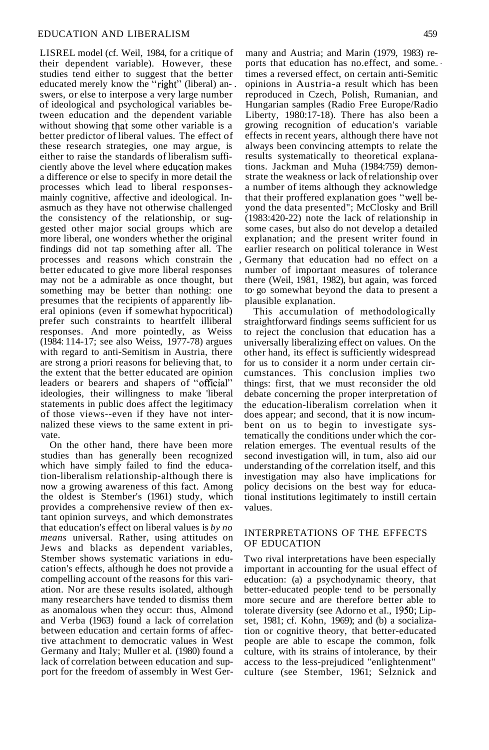LISREL model (cf. Weil, 1984, for a critique of their dependent variable). However, these studies tend either to suggest that the better educated merely know the "right" (liberal) an-. swers, or else to interpose a very large number of ideological and psychological variables between education and the dependent variable without showing that some other variable is a better predictor of liberal values. The effect of these research strategies, one may argue, is either to raise the standards of liberalism sufficiently above the level where education makes a difference or else to specify in more detail the processes which lead to liberal responsesmainly cognitive, affective and ideological. Inasmuch as they have not otherwise challenged the consistency of the relationship, or suggested other major social groups which are more liberal, one wonders whether the original findings did not tap something after all. The processes and reasons which constrain the better educated to give more liberal responses may not be a admirable as once thought, but something may be better than nothing: one presumes that the recipients of apparently liberal opinions (even if somewhat hypocritical) prefer such constraints to heartfelt illiberal responses. And more pointedly, as Weiss (1984: 114-17; see also Weiss, 1977-78) argues with regard to anti-Semitism in Austria, there are strong a priori reasons for believing that, to the extent that the better educated are opinion leaders or bearers and shapers of "official" ideologies, their willingness to make 'liberal statements in public does affect the legitimacy of those views--even if they have not internalized these views to the same extent in private.

On the other hand, there have been more studies than has generally been recognized which have simply failed to find the education-liberalism relationship-although there is now a growing awareness of this fact. Among the oldest is Stember's (1961) study, which provides a comprehensive review of then extant opinion surveys, and which demonstrates that education's effect on liberal values is *by* no *means* universal. Rather, using attitudes on Jews and blacks as dependent variables, Stember shows systematic variations in education's effects, although he does not provide a compelling account of the reasons for this variation. Nor are these results isolated, although many researchers have tended to dismiss them as anomalous when they occur: thus, Almond and Verba (1963) found a lack of correlation between education and certain forms of affective attachment to democratic values in West Germany and Italy; Muller et al. (1980) found a lack of correlation between education and support for the freedom of assembly in West Ger-

many and Austria; and Marin (1979, 1983) reports that education has no.effect, and some... times a reversed effect, on certain anti-Semitic opinions in Austria-a result which has been reproduced in Czech, Polish, Rumanian, and Hungarian samples (Radio Free Europe/Radio Liberty,  $1980:\overline{17-18}$ . There has also been a growing recognition of education's variable effects in recent years, although there have not always been convincing attempts to relate the results systematically to theoretical explanations. Jackman and Muha (1984:759) demonstrate the weakness or lack ofrelationship over a number of items although they acknowledge that their proffered explanation goes "well beyond the data presented"; McClosky and Brill (1983:420-22) note the lack of relationship in some cases, but also do not develop a detailed explanation; and the present writer found in earlier research on political tolerance in West , Germany that education had no effect on a number of important measures of tolerance there (Weil, 1981, 1982), but again, was forced to· go somewhat beyond the data to present a plausible explanation.

This accumulation of methodologically straightforward findings seems sufficient for us to reject the conclusion that education has a universally liberalizing effect on values. On the other hand, its effect is sufficiently widespread for us to consider it a norm under certain circumstances. This conclusion implies two things: first, that we must reconsider the old debate concerning the proper interpretation of the education-liberalism correlation when it does appear; and second, that it is now incumbent on us to begin to investigate systematically the conditions under which the correlation emerges. The eventual results of the second investigation will, in tum, also aid our understanding of the correlation itself, and this investigation may also have implications for policy decisions on the best way for educational institutions legitimately to instill certain values.

## INTERPRETATIONS OF THE EFFECTS OF EDUCATION

Two rival interpretations have been especially important in accounting for the usual effect of education: (a) a psychodynamic theory, that better-educated people· tend to be personally more secure and are therefore better able to tolerate diversity (see Adorno et aI., 1950; Lipset, 1981; cf. Kohn, 1969); and (b) a socialization or cognitive theory, that better-educated people are able to escape the common, folk culture, with its strains of intolerance, by their access to the less-prejudiced "enlightenment" culture (see Stember, 1961; Selznick and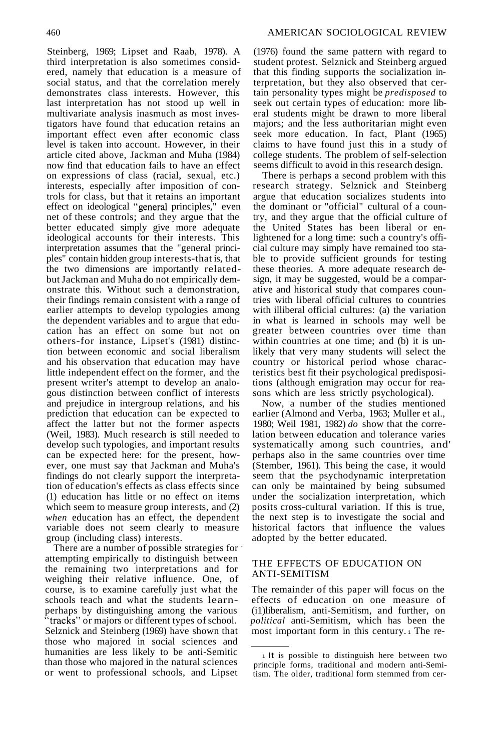Steinberg, 1969; Lipset and Raab, 1978). A third interpretation is also sometimes considered, namely that education is a measure of social status, and that the correlation merely demonstrates class interests. However, this last interpretation has not stood up well in multivariate analysis inasmuch as most investigators have found that education retains an important effect even after economic class level is taken into account. However, in their article cited above, Jackman and Muha (1984) now find that education fails to have an effect on expressions of class (racial, sexual, etc.) interests, especially after imposition of controls for class, but that it retains an important effect on ideological "general principles," even net of these controls; and they argue that the better educated simply give more adequate ideological accounts for their interests. This interpretation assumes that the "general principles" contain hidden group interests-that is, that the two dimensions are importantly relatedbut Jackman and Muha do not empirically demonstrate this. Without such a demonstration, their findings remain consistent with a range of earlier attempts to develop typologies among the dependent variables and to argue that education has an effect on some but not on others-for instance, Lipset's (1981) distinction between economic and social liberalism and his observation that education may have little independent effect on the former, and the present writer's attempt to develop an analogous distinction between conflict of interests and prejudice in intergroup relations, and his prediction that education can be expected to affect the latter but not the former aspects (Weil, 1983). Much research is still needed to develop such typologies, and important results can be expected here: for the present, however, one must say that Jackman and Muha's findings do not clearly support the interpretation of education's effects as class effects since (1) education has little or no effect on items which seem to measure group interests, and (2) *when* education has an effect, the dependent variable does not seem clearly to measure group (including class) interests.

There are a number of possible strategies for ' attempting empirically to distinguish between the remaining two interpretations and for weighing their relative influence. One, of course, is to examine carefully just what the schools teach and what the students learnperhaps by distinguishing among the various "tracks" or majors or different types ofschool. Selznick and Steinberg (1969) have shown that those who majored in social sciences and humanities are less likely to be anti-Semitic than those who majored in the natural sciences or went to professional schools, and Lipset

(1976) found the same pattern with regard to student protest. Selznick and Steinberg argued that this finding supports the socialization interpretation, but they also observed that certain personality types might be *predisposed* to seek out certain types of education: more liberal students might be drawn to more liberal majors; and the less authoritarian might even seek more education. In fact, Plant (1965) claims to have found just this in a study of college students. The problem of self-selection seems difficult to avoid in this research design.

There is perhaps a second problem with this research strategy. Selznick and Steinberg argue that education socializes students into the dominant or "official" cultural of a country, and they argue that the official culture of the United States has been liberal or enlightened for a long time: such a country's official culture may simply have remained too stable to provide sufficient grounds for testing these theories. A more adequate research design, it may be suggested, would be a comparative and historical study that compares countries with liberal official cultures to countries with illiberal official cultures: (a) the variation in what is learned in schools may well be greater between countries over time than within countries at one time; and (b) it is unlikely that very many students will select the country or historical period whose characteristics best fit their psychological predispositions (although emigration may occur for reasons which are less strictly psychological).

Now, a number of the studies mentioned earlier (Almond and Verba, 1963; Muller et al., 1980; Weil 1981, 1982) *do* show that the correlation between education and tolerance varies systematically among such countries, and' perhaps also in the same countries over time (Stember, 1961). This being the case, it would seem that the psychodynamic interpretation can only be maintained by being subsumed under the socialization interpretation, which posits cross-cultural variation. If this is true, the next step is to investigate the social and historical factors that influence the values adopted by the better educated.

#### THE EFFECTS OF EDUCATION ON ANTI-SEMITISM

The remainder of this paper will focus on the effects of education on one measure of (i1)liberalism, anti-Semitism, and further, on *political* anti-Semitism, which has been the most important form in this century. <sup>1</sup> The re-

<sup>1</sup> It is possible to distinguish here between two principle forms, traditional and modern anti-Semitism. The older, traditional form stemmed from cer-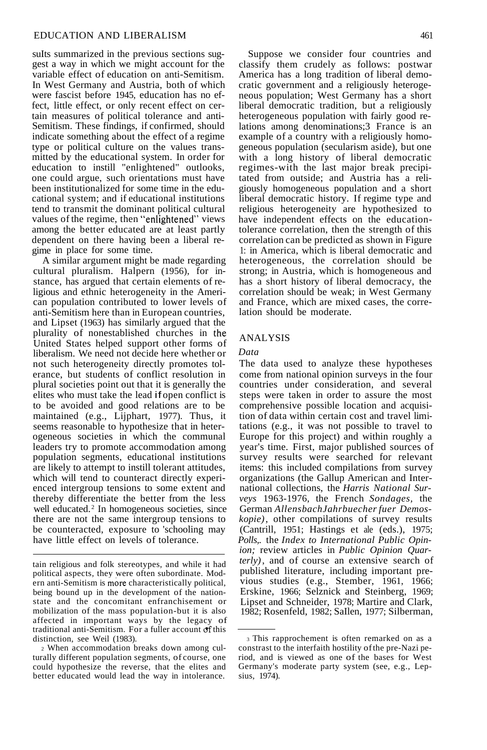suIts summarized in the previous sections suggest a way in which we might account for the variable effect of education on anti-Semitism. In West Germany and Austria, both of which were fascist before 1945, education has no effect, little effect, or only recent effect on certain measures of political tolerance and anti-Semitism. These findings, if confirmed, should indicate something about the effect of a regime type or political culture on the values transmitted by the educational system. In order for education to instill "enlightened" outlooks, one could argue, such orientations must have been institutionalized for some time in the educational system; and if educational institutions tend to transmit the dominant political cultural values of the regime, then "enlightened" views among the better educated are at least partly dependent on there having been a liberal regime in place for some time.

A similar argument might be made regarding cultural pluralism. Halpern (1956), for instance, has argued that certain elements of religious and ethnic heterogeneity in the American population contributed to lower levels of anti-Semitism here than in European countries, and Lipset (1963) has similarly argued that the plurality of nonestablished churches in the United States helped support other forms of liberalism. We need not decide here whether or not such heterogeneity directly promotes tolerance, but students of conflict resolution in plural societies point out that it is generally the elites who must take the lead if open conflict is to be avoided and good relations are to be maintained (e.g., Lijphart, 1977). Thus, it seems reasonable to hypothesize that in heterogeneous societies in which the communal leaders try to promote accommodation among population segments, educational institutions are likely to attempt to instill tolerant attitudes, which will tend to counteract directly experienced intergroup tensions to some extent and thereby differentiate the better from the less well educated.<sup>2</sup> In homogeneous societies, since there are not the same intergroup tensions to be counteracted, exposure to 'schooling may have little effect on levels of tolerance.

<sup>2</sup> When accommodation breaks down among culturally different population segments, of course, one could hypothesize the reverse, that the elites and better educated would lead the way in intolerance.

Suppose we consider four countries and classify them crudely as follows: postwar America has a long tradition of liberal democratic government and a religiously heterogeneous population; West Germany has a short liberal democratic tradition, but a religiously heterogeneous population with fairly good relations among denominations;3 France is an example of a country with a religiously homogeneous population (secularism aside), but one with a long history of liberal democratic regimes-with the last major break precipitated from outside; and Austria has a religiously homogeneous population and a short liberal democratic history. If regime type and religious heterogeneity are hypothesized to have independent effects on the educationtolerance correlation, then the strength of this correlation can be predicted as shown in Figure 1: in America, which is liberal democratic and heterogeneous, the correlation should be strong; in Austria, which is homogeneous and has a short history of liberal democracy, the correlation should be weak; in West Germany and France, which are mixed cases, the correlation should be moderate.

### ANALYSIS

#### *Data*

The data used to analyze these hypotheses come from national opinion surveys in the four countries under consideration, and several steps were taken in order to assure the most comprehensive possible location and acquisition of data within certain cost and travel limitations (e.g., it was not possible to travel to Europe for this project) and within roughly a year's time. First, major published sources of survey results were searched for relevant items: this included compilations from survey organizations (the Gallup American and International collections, the *Harris National Surveys* 1963-1976, the French *Sondages,* the German *AllensbachJahrbuecher fuer Demoskopie)*, other compilations of survey results (Cantrill, 1951; Hastings et ale (eds.), 1975; *Polls,.* the *Index to International Public Opinion;* review articles in *Public Opinion Quarterly)*, and of course an extensive search of published literature, including important previous studies (e.g., Stember, 1961, 1966; Erskine, 1966; Selznick and Steinberg, 1969; Lipset and Schneider, 1978; Martire and Clark, 1982; Rosenfeld, 1982; SaIlen, 1977; Silberman,

tain religious and folk stereotypes, and while it had political aspects, they were often subordinate. Modern anti-Semitism is more characteristically political, being bound up in the development of the nationstate and the concomitant enfranchisement or mobilization of the mass population-but it is also affected in important ways by the legacy of traditional anti-Semitism. For a fuller account  $of$  this distinction, see Weil (1983).

<sup>3</sup> This rapprochement is often remarked on as a constrast to the interfaith hostility ofthe pre-Nazi period, and is viewed as one of the bases for West Germany's moderate party system (see, e.g., Lepsius, 1974).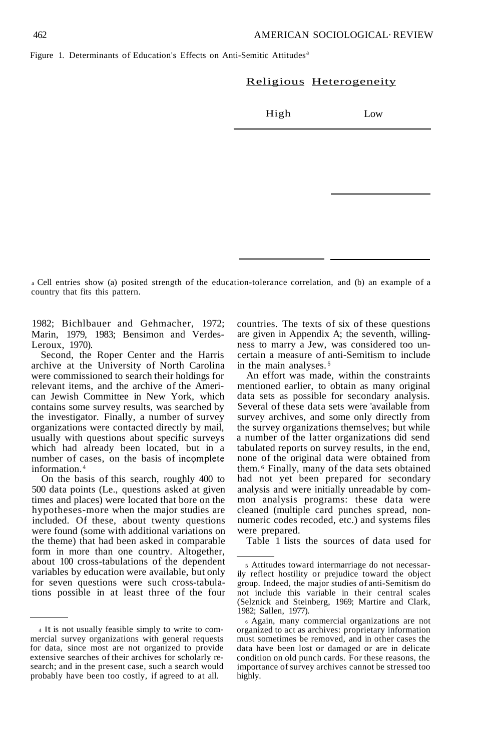#### Religious Heterogeneity

High Low

<sup>a</sup> Cell entries show (a) posited strength of the education-tolerance correlation, and (b) an example of a country that fits this pattern.

1982; Bichlbauer and Gehmacher, 1972; Marin, 1979, 1983; Bensimon and Verdes-Leroux, 1970).

Second, the Roper Center and the Harris archive at the University of North Carolina were commissioned to search their holdings for relevant items, and the archive of the American Jewish Committee in New York, which contains some survey results, was searched by the investigator. Finally, a number of survey organizations were contacted directly by mail, usually with questions about specific surveys which had already been located, but in a number of cases, on the basis of incomplete information. <sup>4</sup>

On the basis of this search, roughly 400 to 500 data points (Le., questions asked at given times and places) were located that bore on the hypotheses-more when the major studies are included. Of these, about twenty questions were found (some with additional variations on the theme) that had been asked in comparable form in more than one country. Altogether, about 100 cross-tabulations of the dependent variables by education were available, but only for seven questions were such cross-tabulations possible in at least three of the four countries. The texts of six of these questions are given in Appendix A; the seventh, willingness to marry a Jew, was considered too uncertain a measure of anti-Semitism to include in the main analyses. <sup>5</sup>

An effort was made, within the constraints mentioned earlier, to obtain as many original data sets as possible for secondary analysis. Several of these data sets were 'available from survey archives, and some only directly from the survey organizations themselves; but while a number of the latter organizations did send tabulated reports on survey results, in the end, none of the original data were obtained from them. <sup>6</sup> Finally, many of the data sets obtained had not yet been prepared for secondary analysis and were initially unreadable by common analysis programs: these data were cleaned (multiple card punches spread, nonnumeric codes recoded, etc.) and systems files were prepared.

Table 1 lists the sources of data used for

<sup>4</sup> It is not usually feasible simply to write to commercial survey organizations with general requests for data, since most are not organized to provide extensive searches of their archives for scholarly research; and in the present case, such a search would probably have been too costly, if agreed to at all.

<sup>5</sup> Attitudes toward intermarriage do not necessarily reflect hostility or prejudice toward the object group. Indeed, the major studies of anti-Semitism do not include this variable in their central scales (Selznick and Steinberg, 1969; Martire and Clark, 1982; Sallen, 1977).

<sup>6</sup> Again, many commercial organizations are not organized to act as archives: proprietary information must sometimes be removed, and in other cases the data have been lost or damaged or are in delicate condition on old punch cards. For these reasons, the importance of survey archives cannot be stressed too highly.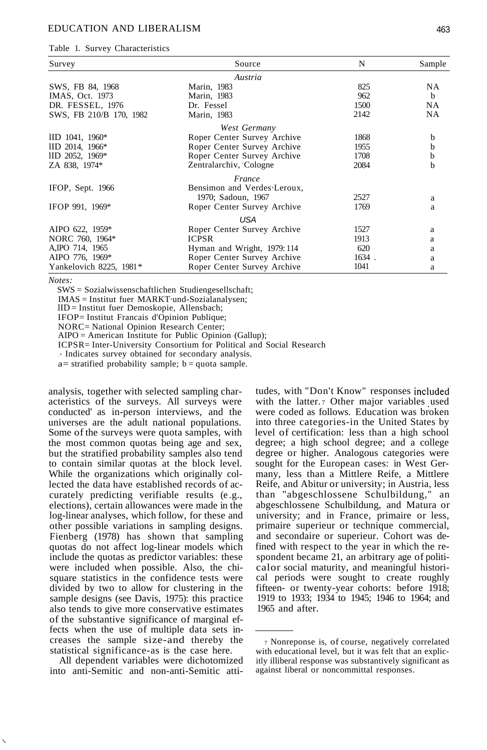#### EDUCATION AND LIBERALISM 463

Table 1. Survey Characteristics

| Survey                    | Source                      |       | Sample       |
|---------------------------|-----------------------------|-------|--------------|
|                           | Austria                     |       |              |
| SWS, FB 84, 1968          | Marin, 1983                 | 825   | <b>NA</b>    |
| IMAS, Oct. 1973           | Marin, 1983                 | 962   | <sub>b</sub> |
| DR. FESSEL, 1976          | Dr. Fessel                  | 1500  | NA.          |
| SWS, FB 210/B 170, 1982   | Marin, 1983                 | 2142  | <b>NA</b>    |
|                           | West Germany                |       |              |
| $\text{IID } 1041, 1960*$ | Roper Center Survey Archive | 1868  | b            |
| IID 2014, 1966*           | Roper Center Survey Archive | 1955  | b            |
| IID 2052, 1969*           | Roper Center Survey Archive | 1708  | b            |
| ZA 838, 1974*             | Zentralarchiv, Cologne      | 2084  | b            |
|                           | France                      |       |              |
| IFOP, Sept. 1966          | Bensimon and Verdes Leroux, |       |              |
|                           | 1970; Sadoun, 1967          | 2527  | a            |
| IFOP 991, 1969*           | Roper Center Survey Archive | 1769  | a            |
|                           | <b>USA</b>                  |       |              |
| AIPO 622, 1959*           | Roper Center Survey Archive | 1527  | a            |
| NORC 760, 1964*           | <b>ICPSR</b>                | 1913  | a            |
| A, IPO 714, 1965          | Hyman and Wright, 1979: 114 | 620   | a            |
| AIPO 776, 1969*           | Roper Center Survey Archive | 1634. | a            |
| Yankelovich 8225, 1981*   | Roper Center Survey Archive | 1041  | a            |

*Notes:*

\.

SWS = Sozialwissenschaftlichen Studiengesellschaft;

IMAS = Institut fuer MARKT·und-Sozialanalysen;

lID = Institut fuer Demoskopie, Allensbach;

IFOP= Institut Francais d'Opinion Publique;

NORC= National Opinion Research Center;

 $AIPO =$  American Institute for Public Opinion (Gallup);

ICPSR= Inter-University Consortium for Political and Social Research

.\* Indicates survey obtained for secondary analysis.

 $a=$  stratified probability sample;  $b =$ quota sample.

analysis, together with selected sampling characteristics of the surveys. All surveys were conducted' as in-person interviews, and the universes are the adult national populations. Some of the surveys were quota samples, with the most common quotas being age and sex, but the stratified probability samples also tend to contain similar quotas at the block level. While the organizations which originally collected the data have established records of accurately predicting verifiable results (e .g., elections), certain allowances were made in the log-linear analyses, which follow, for these and other possible variations in sampling designs. Fienberg (1978) has shown that sampling quotas do not affect log-linear models which include the quotas as predictor variables: these were included when possible. Also, the chisquare statistics in the confidence tests were divided by two to allow for clustering in the sample designs (see Davis, 1975): this practice also tends to give more conservative estimates of the substantive significance of marginal effects when the use of multiple data sets increases the sample size-and thereby the statistical significance-as is the case here.

All dependent variables were dichotomized into anti-Semitic and non-anti-Semitic attitudes, with "Don't Know" responses included with the latter. 7 Other major variables used were coded as follows. Education was broken into three categories-in the United States by level of certification: less than a high school degree; a high school degree; and a college degree or higher. Analogous categories were sought for the European cases: in West Germany, less than a Mittlere Reife, a Mittlere Reife, and Abitur or university; in Austria, less than "abgeschlossene Schulbildung," an abgeschlossene Schulbildung, and Matura or university; and in France, primaire or less, primaire superieur or technique commercial, and secondaire or superieur. Cohort was defined with respect to the year in which the respondent became 21, an arbitrary age of politicalor social maturity, and meaningful historical periods were sought to create roughly fifteen- or twenty-year cohorts: before 1918; 1919 to 1933; 1934 to 1945; 1946 to 1964; and 1965 and after.

<sup>7</sup> Nonreponse is, of course, negatively correlated with educational level, but it was felt that an explicitly illiberal response was substantively significant as against liberal or noncommittal responses.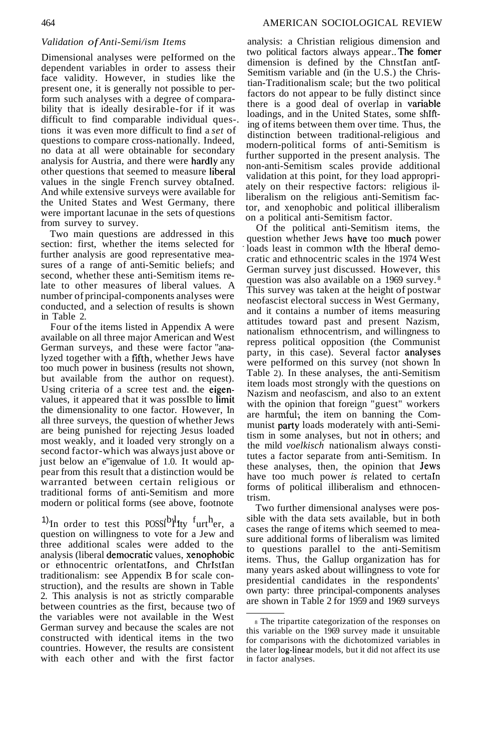## *Validation of Anti-Semi/ism Items*

Dimensional analyses were peIformed on the dependent variables in order to assess their face validity. However, in studies like the present one, it is generally not possible to perform such analyses with a degree of comparability that is ideally desirable-for if it was difficult to find comparable individual ques-. tions it was even more difficult to find a *set* of questions to compare cross-nationally. Indeed, no data at all were obtainable for secondary analysis for Austria, and there were hardly any other questions that seemed to measure liberal values in the single French survey obtaIned. And while extensive surveys were available for the United States and West Germany, there were important lacunae in the sets of questions from survey to survey.

Two main questions are addressed in this section: first, whether the items selected for further analysis are good representative measures of a range of anti-Semitic beliefs; and second, whether these anti-Semitism items relate to other measures of liberal values. A number of principal-components analyses were conducted, and a selection of results is shown in Table 2.

Four of the items listed in Appendix A were available on all three major American and West German surveys, and these were factor "analyzed together with a fifth, whether Jews have too much power in business (results not shown, but available from the author on request). Using criteria of a scree test and the eigenvalues, it appeared that it was possIble to limit the dimensionality to one factor. However, In all three surveys, the question of whether Jews are being punished for rejecting Jesus loaded most weakly, and it loaded very strongly on a second factor-which was always just above or just below an e"igenvalue of 1.0. It would appear from this result that a distinction would be warranted between certain religious or traditional forms of anti-Semitism and more modern or political forms (see above, footnote

<sup>1)</sup>In order to test this POSSI<sup>b<sub>ril</sub> Ity <sup>f</sup>urt<sup>h</sup>er, a</sup> question on willingness to vote for a Jew and three additional scales were added to the analysis (liberal democratic values, xenophobic or ethnocentric orientatIons, and ChrIstIan traditionalism: see Appendix B for scale construction), and the results are shown in Table 2. This analysis is not as strictly comparable between countries as the first, because two of the variables were not available in the West German survey and because the scales are not constructed with identical items in the two countries. However, the results are consistent with each other and with the first factor

analysis: a Christian religious dimension and two political factors always appear..The fomer dimension is defined by the ChnstIan antI-Semitism variable and (in the U.S.) the Christian-Traditionalism scale; but the two political factors do not appear to be fully distinct since there is a good deal of overlap in variable loadings, and in the United States, some shIfting of items between them over time. Thus, the distinction between traditional-religious and modern-political forms of anti-Semitism is further supported in the present analysis. The non-anti-Semitism scales provide additional validation at this point, for they load appropriately on their respective factors: religious illiberalism on the religious anti-Semitism factor, and xenophobic and political illiberalism on a political anti-Semitism factor.

Of the political anti-Semitism items, the question whether Jews have too much power loads least in common wIth the hberal democratic and ethnocentric scales in the 1974 West German survey just discussed. However, this question was also available on a 1969 survey. <sup>8</sup> This survey was taken at the height of postwar neofascist electoral success in West Germany, and it contains a number of items measuring attitudes toward past and present Nazism, nationalism ethnocentrism, and willingness to repress political opposition (the Communist party, in this case). Several factor analyses were peIformed on this survey (not shown In Table 2). In these analyses, the anti-Semitism item loads most strongly with the questions on Nazism and neofascism, and also to an extent with the opinion that foreign "guest" workers are harmful· the item on banning the Communist party loads moderately with anti-Semitism in some analyses, but not in others; and the mild *voelkisch* nationalism always constitutes a factor separate from anti-Semitism. In these analyses, then, the opinion that Jews have too much power *is* related to certaIn forms of political illiberalism and ethnocentrism.

Two further dimensional analyses were possible with the data sets available, but in both cases the range of items which seemed to measure additional forms of liberalism was limited to questions parallel to the anti-Semitism items. Thus, the Gallup organization has for many years asked about willingness to vote for presidential candidates in the respondents' own party: three principal-components analyses are shown in Table 2 for 1959 and 1969 surveys

<sup>8</sup> The tripartite categorization of the responses on this variable on the 1969 survey made it unsuitable for comparisons with the dichotomized variables in the later log-linear models, but it did not affect its use in factor analyses.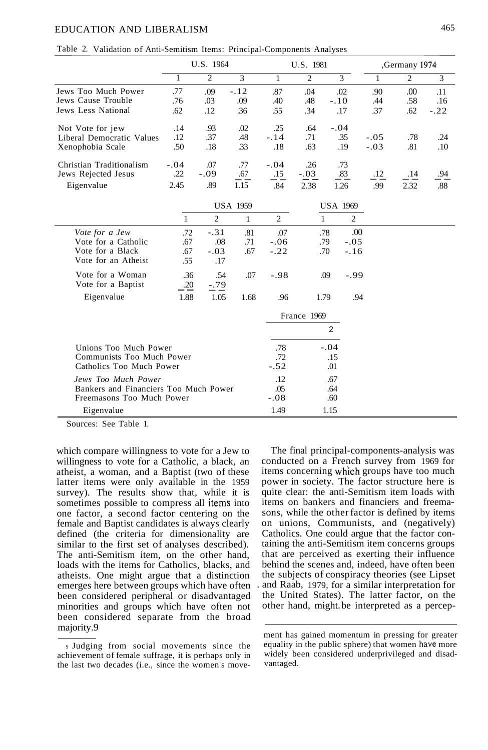# EDUCATION AND LIBERALISM 465

|  |  |  |  | Table 2. Validation of Anti-Semitism Items: Principal-Components Analyses |  |
|--|--|--|--|---------------------------------------------------------------------------|--|
|--|--|--|--|---------------------------------------------------------------------------|--|

|                           | U.S. 1964 |        |        | U.S. 1981 |                |        | ,Germany 1974 |                |        |
|---------------------------|-----------|--------|--------|-----------|----------------|--------|---------------|----------------|--------|
|                           |           | 2      | 3      |           | $\overline{c}$ | 3      |               | $\overline{c}$ | 3      |
| Jews Too Much Power       | .77       | .09    | $-.12$ | .87       | .04            | .02    | .90           | .00            | .11    |
| Jews Cause Trouble        | .76       | .03    | .09    | .40       | .48            | $-.10$ | .44           | .58            | .16    |
| Jews Less National        | .62       | .12    | .36    | .55       | .34            | .17    | .37           | .62            | $-.22$ |
| Not Vote for jew          | .14       | .93    | .02    | .25       | .64            | $-.04$ |               |                |        |
| Liberal Democratic Values | .12       | .37    | .48    | $-.14$    | .71            | .35    | $-.05$        | .78            | .24    |
| Xenophobia Scale          | .50       | .18    | .33    | .18       | .63            | .19    | $-.03$        | .81            | .10    |
| Christian Traditionalism  | $-.04$    | .07    | .77    | $-.04$    | .26            | .73    |               |                |        |
| Jews Rejected Jesus       | .22       | $-.09$ | .67    | .15       | $-.03$         | .83    | .12           | .14            | .94    |
| Eigenvalue                | 2.45      | .89    | 1.15   | .84       | 2.38           | 1.26   | .99           | 2.32           | .88    |

|                                       |      | <b>USA 1959</b> |      |        | <b>USA 1969</b> |        |
|---------------------------------------|------|-----------------|------|--------|-----------------|--------|
|                                       |      | 2               | 1    | 2      | 1               | 2      |
| Vote for a Jew                        | .72  | $-.31$          | .81  | .07    | .78             | .00.   |
| Vote for a Catholic                   | .67  | .08             | .71  | $-.06$ | .79             | $-.05$ |
| Vote for a Black                      | .67  | $-.03$          | .67  | $-.22$ | .70             | $-.16$ |
| Vote for an Atheist                   | .55  | .17             |      |        |                 |        |
| Vote for a Woman                      | .36  | .54             | .07  | $-.98$ | .09             | $-.99$ |
| Vote for a Baptist                    | .20  | $-.79$          |      |        |                 |        |
| Eigenvalue                            | 1.88 | 1.05            | 1.68 | .96    | 1.79            | .94    |
|                                       |      |                 |      |        | France 1969     |        |
|                                       |      |                 |      |        | $\mathfrak{p}$  |        |
| Unions Too Much Power                 |      |                 |      | .78    | $-.04$          |        |
| Communists Too Much Power             |      |                 |      | .72    | .15             |        |
| Catholics Too Much Power              |      |                 |      | $-.52$ | .01             |        |
| Jews Too Much Power                   |      |                 |      | .12    | .67             |        |
| Bankers and Financiers Too Much Power |      |                 |      | .05    | .64             |        |
| Freemasons Too Much Power             |      |                 |      | $-.08$ | .60             |        |
| Eigenvalue                            |      |                 |      | 1.49   | 1.15            |        |

Sources: See Table 1.

which compare willingness to vote for a Jew to willingness to vote for a Catholic, a black, an atheist, a woman, and a Baptist (two of these latter items were only available in the 1959 survey). The results show that, while it is sometimes possible to compress all items into one factor, a second factor centering on the female and Baptist candidates is always clearly defined (the criteria for dimensionality are similar to the first set of analyses described). The anti-Semitism item, on the other hand, loads with the items for Catholics, blacks, and atheists. One might argue that a distinction emerges here between groups which have often been considered peripheral or disadvantaged minorities and groups which have often not been considered separate from the broad majority.9

The final principal-components-analysis was conducted on a French survey from 1969 for items concerning which groups have too much power in society. The factor structure here is quite clear: the anti-Semitism item loads with items on bankers and financiers and freemasons, while the other factor is defined by items on unions, Communists, and (negatively) Catholics. One could argue that the factor containing the anti-Semitism item concerns groups that are perceived as exerting their influence behind the scenes and, indeed, have often been the subjects of conspiracy theories (see Lipset . and Raab, 1979, for a similar interpretation for the United States). The latter factor, on the other hand, might.be interpreted as a percep-

<sup>9</sup> Judging from social movements since the achievement of female suffrage, it is perhaps only in the last two decades (i.e., since the women's move-

ment has gained momentum in pressing for greater equality in the public sphere) that women have more widely been considered underprivileged and disadvantaged.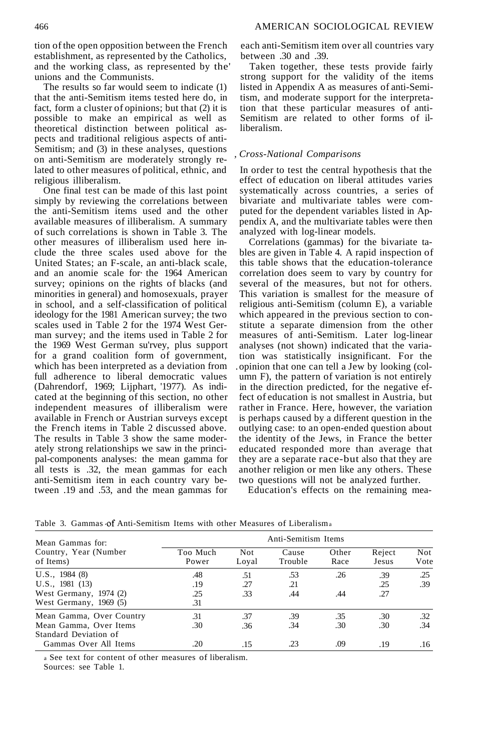tion ofthe open opposition between the French establishment, as represented by the Catholics, and the working class, as represented by the' unions and the Communists.

The results so far would seem to indicate (1) that the anti-Semitism items tested here do, in fact, form a cluster of opinions; but that (2) it is possible to make an empirical as well as theoretical distinction between political aspects and traditional religious aspects of anti-Semitism; and (3) in these analyses, questions on anti-Semitism are moderately strongly related to other measures of political, ethnic, and religious illiberalism.

One final test can be made of this last point simply by reviewing the correlations between the anti-Semitism items used and the other available measures of illiberalism. A summary of such correlations is shown in Table 3. The other measures of illiberalism used here include the three scales used above for the United States; an F-scale, an anti-black scale, and an anomie scale for· the 1964 American survey; opinions on the rights of blacks (and minorities in general) and homosexuals, prayer in school, and a self-classification of political ideology for the 1981 American survey; the two scales used in Table 2 for the 1974 West German survey; and the items used in Table 2 for the 1969 West German su'rvey, plus support for a grand coalition form of government, which has been interpreted as a deviation from full adherence to liberal democratic values (Dahrendorf, 1969; Lijphart, '1977). As indicated at the beginning of this section, no other independent measures of illiberalism were available in French or Austrian surveys except the French items in Table 2 discussed above. The results in Table 3 show the same moderately strong relationships we saw in the principal-components analyses: the mean gamma for all tests is .32, the mean gammas for each anti-Semitism item in each country vary between .19 and .53, and the mean gammas for each anti-Semitism item over all countries vary between .30 and .39.

Taken together, these tests provide fairly strong support for the validity of the items listed in Appendix A as measures of anti-Semitism, and moderate support for the interpretation that these particular measures of anti-Semitism are related to other forms of illiberalism.

#### *, Cross-National Comparisons*

In order to test the central hypothesis that the effect of education on liberal attitudes varies systematically across countries, a series of bivariate and multivariate tables were computed for the dependent variables listed in Appendix A, and the multivariate tables were then analyzed with log-linear models.

Correlations (gammas) for the bivariate tables are given in Table 4. A rapid inspection of this table shows that the education-tolerance correlation does seem to vary by country for several of the measures, but not for others. This variation is smallest for the measure of religious anti-Semitism (column E), a variable which appeared in the previous section to constitute a separate dimension from the other measures of anti-Semitism. Later log-linear analyses (not shown) indicated that the variation was statistically insignificant. For the .opinion that one can tell a Jew by looking (column F), the pattern of variation is not entirely in the direction predicted, for the negative effect of education is not smallest in Austria, but rather in France. Here, however, the variation is perhaps caused by a different question in the outlying case: to an open-ended question about the identity of the Jews, in France the better educated responded more than average that they are a separate race-but also that they are another religion or men like any others. These two questions will not be analyzed further.

Education's effects on the remaining mea-

| Mean Gammas for:                    | Anti-Semitism Items |              |                  |               |                 |             |  |  |  |
|-------------------------------------|---------------------|--------------|------------------|---------------|-----------------|-------------|--|--|--|
| Country, Year (Number)<br>of Items) | Too Much<br>Power   | Not<br>Loyal | Cause<br>Trouble | Other<br>Race | Reject<br>Jesus | Not<br>Vote |  |  |  |
| U.S., 1984(8)                       | .48                 | .51          | .53              | .26           | .39             | .25         |  |  |  |
| U.S., 1981(13)                      | .19                 | .27          | .21              |               | .25             | .39         |  |  |  |
| West Germany, $1974(2)$             | .25                 | .33          | .44              | .44           | .27             |             |  |  |  |
| West Germany, 1969 (5)              | .31                 |              |                  |               |                 |             |  |  |  |
| Mean Gamma, Over Country            | .31                 | .37          | .39              | .35           | .30             | .32         |  |  |  |
| Mean Gamma, Over Items              | .30                 | .36          | .34              | .30           | .30             | .34         |  |  |  |
| Standard Deviation of               |                     |              |                  |               |                 |             |  |  |  |
| Gammas Over All Items               | .20                 | .15          | .23              | .09           | .19             | .16         |  |  |  |

Table 3. Gammas of Anti-Semitism Items with other Measures of Liberalisma

<sup>a</sup> See text for content of other measures of liberalism.

Sources: see Table 1.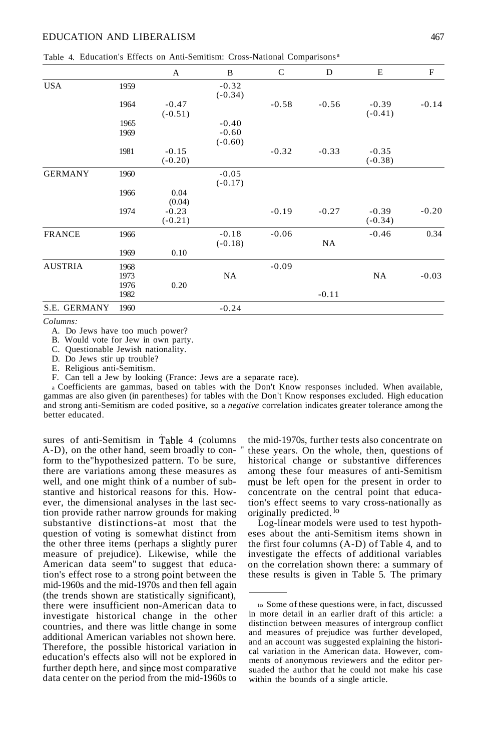|  |  |  |  |  | Table 4. Education's Effects on Anti-Semitism: Cross-National Comparisons <sup>a</sup> |  |
|--|--|--|--|--|----------------------------------------------------------------------------------------|--|
|--|--|--|--|--|----------------------------------------------------------------------------------------|--|

|                |      | A                    | $\mathbf B$          | $\mathcal{C}$ | D         | E                    | $\mathbf{F}$ |
|----------------|------|----------------------|----------------------|---------------|-----------|----------------------|--------------|
| <b>USA</b>     | 1959 |                      | $-0.32$<br>$(-0.34)$ |               |           |                      |              |
|                | 1964 | $-0.47$<br>$(-0.51)$ |                      | $-0.58$       | $-0.56$   | $-0.39$<br>$(-0.41)$ | $-0.14$      |
|                | 1965 |                      | $-0.40$              |               |           |                      |              |
|                | 1969 |                      | $-0.60$<br>$(-0.60)$ |               |           |                      |              |
|                | 1981 | $-0.15$<br>$(-0.20)$ |                      | $-0.32$       | $-0.33$   | $-0.35$<br>$(-0.38)$ |              |
| <b>GERMANY</b> | 1960 |                      | $-0.05$<br>$(-0.17)$ |               |           |                      |              |
|                | 1966 | 0.04<br>(0.04)       |                      |               |           |                      |              |
|                | 1974 | $-0.23$<br>$(-0.21)$ |                      | $-0.19$       | $-0.27$   | $-0.39$<br>$(-0.34)$ | $-0.20$      |
| <b>FRANCE</b>  | 1966 |                      | $-0.18$<br>$(-0.18)$ | $-0.06$       | <b>NA</b> | $-0.46$              | 0.34         |
|                | 1969 | 0.10                 |                      |               |           |                      |              |
| <b>AUSTRIA</b> | 1968 |                      |                      | $-0.09$       |           |                      |              |
|                | 1973 |                      | NA                   |               |           | NA                   | $-0.03$      |
|                | 1976 | 0.20                 |                      |               |           |                      |              |
|                | 1982 |                      |                      |               | $-0.11$   |                      |              |
| S.E. GERMANY   | 1960 |                      | $-0.24$              |               |           |                      |              |

*Columns:*

A. Do Jews have too much power?

B. Would vote for Jew in own party.

C. Questionable Jewish nationality.

D. Do Jews stir up trouble?

E. Religious anti-Semitism.

F. Can tell a Jew by looking (France: Jews are a separate race).

<sup>a</sup> Coefficients are gammas, based on tables with the Don't Know responses included. When available, gammas are also given (in parentheses) for tables with the Don't Know responses excluded. High education and strong anti-Semitism are coded positive, so a *negative* correlation indicates greater tolerance among the better educated.

sures of anti-Semitism in Table 4 (columns A-D), on the other hand, seem broadly to conform to the"hypothesized pattern. To be sure, there are variations among these measures as well, and one might think of a number of substantive and historical reasons for this. However, the dimensional analyses in the last section provide rather narrow grounds for making substantive distinctions-at most that the question of voting is somewhat distinct from the other three items (perhaps a slightly purer measure of prejudice). Likewise, while the American data seem" to suggest that education's effect rose to a strong point between the mid-1960s and the mid-1970s and then fell again (the trends shown are statistically significant), there were insufficient non-American data to investigate historical change in the other countries, and there was little change in some additional American variables not shown here. Therefore, the possible historical variation in education's effects also will not be explored in further depth here, and since most comparative data center on the period from the mid-1960s to

the mid-1970s, further tests also concentrate on these years. On the whole, then, questions of historical change or substantive differences among these four measures of anti-Semitism must be left open for the present in order to concentrate on the central point that education's effect seems to vary cross-nationally as originally predicted. lo

Log-linear models were used to test hypotheses about the anti-Semitism items shown in the first four columns (A-D) of Table 4, and to investigate the effects of additional variables on the correlation shown there: a summary of these results is given in Table 5. The primary

to Some ofthese questions were, in fact, discussed in more detail in an earlier draft of this article: a distinction between measures of intergroup conflict and measures of prejudice was further developed, and an account was suggested explaining the historical variation in the American data. However, comments of anonymous reviewers and the editor persuaded the author that he could not make his case within the bounds of a single article.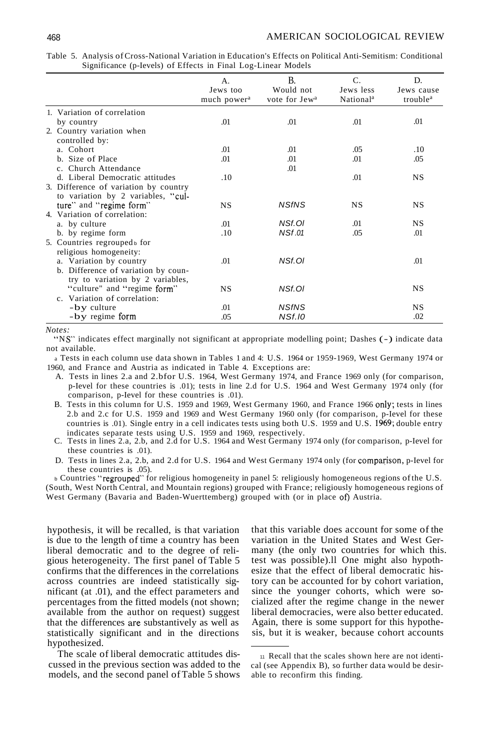|                                                                                                        | А.<br>Jews too<br>much power <sup>a</sup> | B.<br>Would not<br>vote for Jew <sup>a</sup> | C.<br>Jews less<br>National <sup>a</sup> | D.<br>Jews cause<br>trouble <sup>a</sup> |
|--------------------------------------------------------------------------------------------------------|-------------------------------------------|----------------------------------------------|------------------------------------------|------------------------------------------|
| 1. Variation of correlation                                                                            |                                           |                                              |                                          |                                          |
| by country                                                                                             | .01                                       | .01                                          | .01                                      | .01                                      |
| 2. Country variation when<br>controlled by:                                                            |                                           |                                              |                                          |                                          |
| a. Cohort                                                                                              | .01                                       | .01                                          | .05                                      | .10                                      |
| b. Size of Place                                                                                       | .01                                       | .01                                          | .01                                      | .05                                      |
| c. Church Attendance                                                                                   |                                           | .01                                          |                                          |                                          |
| d. Liberal Democratic attitudes                                                                        | .10                                       |                                              | .01                                      | NS                                       |
| 3. Difference of variation by country<br>to variation by 2 variables, "cul-<br>ture" and "regime form" | NS                                        | <b>NSfNS</b>                                 | <b>NS</b>                                | <b>NS</b>                                |
| 4. Variation of correlation:                                                                           |                                           |                                              |                                          |                                          |
| a. by culture                                                                                          | .01                                       | NSf.OI                                       | .01                                      | <b>NS</b>                                |
| b. by regime form                                                                                      | .10                                       | <b>NSf.01</b>                                | .05                                      | .01                                      |
| 5. Countries regrouped for<br>religious homogeneity:                                                   |                                           |                                              |                                          |                                          |
| a. Variation by country<br>b. Difference of variation by coun-                                         | .01                                       | NSf.OI                                       |                                          | .01                                      |
| try to variation by 2 variables,<br>"culture" and "regime form"<br>c. Variation of correlation:        | <b>NS</b>                                 | NSf.OI                                       |                                          | <b>NS</b>                                |
| -by culture                                                                                            | .01                                       | <b>NSfNS</b>                                 |                                          | NS                                       |
| -by regime form                                                                                        | .05                                       | <b>NSf.10</b>                                |                                          | .02                                      |

Table 5. Analysis ofCross-National Variation in Education's Effects on Political Anti-Semitism: Conditional Significance (p-Ievels) of Effects in Final Log-Linear Models

*Notes:*

"NS" indicates effect marginally not significant at appropriate modelling point; Dashes (-) indicate data not available.

<sup>a</sup> Tests in each column use data shown in Tables 1 and 4: U.S. 1964 or 1959-1969, West Germany 1974 or 1960, and France and Austria as indicated in Table 4. Exceptions are:

- A. Tests in lines 2.a and 2.bfor U.S. 1964, West Germany 1974, and France 1969 only (for comparison, p-Ievel for these countries is .01); tests in line 2.d for U.S. 1964 and West Germany 1974 only (for comparison, p-Ievel for these countries is .01).
- B. Tests in this column for U.S. 1959 and 1969, West Germany 1960, and France 1966 only; tests in lines 2.b and 2.c for U.S. 1959 and 1969 and West Germany 1960 only (for comparison, p-Ievel for these countries is .01). Single entry in a cell indicates tests using both U.S. 1959 and U.S. 1969; double entry indicates separate tests using U.S. 1959 and 1969, respectively.
- C. Tests in lines 2.a, 2.b, and 2.d for U.S. 1964 and West Germany 1974 only (for comparison, p-Ievel for these countries is .01).
- D. Tests in lines 2.a, 2.b, and 2.d for U.S. 1964 and West Germany 1974 only (for comparison, p-Ievel for these countries is .05).

b Countries "regrouped" for religious homogeneity in panel 5: religiously homogeneous regions of the U.S. (South, West North Central, and Mountain regions) grouped with France; religiously homogeneous regions of West Germany (Bavaria and Baden-Wuerttemberg) grouped with (or in place of) Austria.

hypothesis, it will be recalled, is that variation is due to the length of time a country has been liberal democratic and to the degree of religious heterogeneity. The first panel of Table 5 confirms that the differences in the correlations across countries are indeed statistically significant (at .01), and the effect parameters and percentages from the fitted models (not shown; available from the author on request) suggest that the differences are substantively as well as statistically significant and in the directions hypothesized.

The scale of liberal democratic attitudes discussed in the previous section was added to the models, and the second panel of Table 5 shows that this variable does account for some of the variation in the United States and West Germany (the only two countries for which this. test was possible).ll One might also hypothesize that the effect of liberal democratic history can be accounted for by cohort variation, since the younger cohorts, which were socialized after the regime change in the newer liberal democracies, were also better educated. Again, there is some support for this hypothesis, but it is weaker, because cohort accounts

<sup>11</sup> Recall that the scales shown here are not identical (see Appendix B), so further data would be desirable to reconfirm this finding.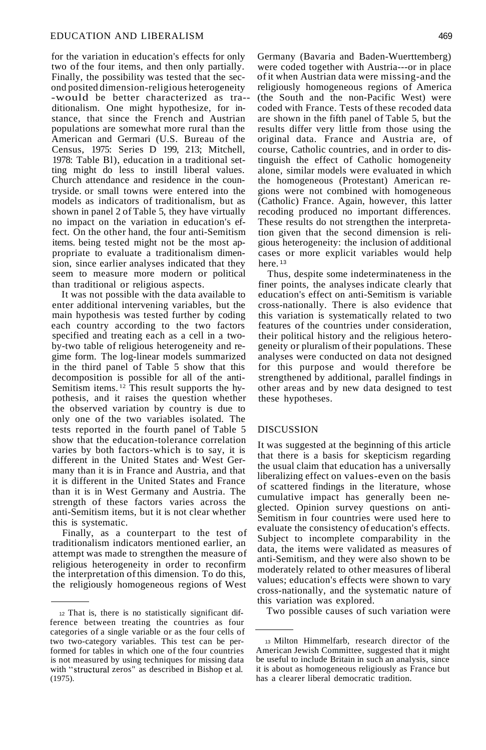for the variation in education's effects for only two of the four items, and then only partially. Finally, the possibility was tested that the second posited dimension-religious heterogeneity -would be better characterized as tra- ditionalism. One might hypothesize, for instance, that since the French and Austrian populations are somewhat more rural than the American and Germari (U.S. Bureau of the Census, 1975: Series D 199, 213; Mitchell, 1978: Table Bl), education in a traditional setting might do less to instill liberal values. Church attendance and residence in the countryside. or small towns were entered into the models as indicators of traditionalism, but as shown in panel 2 ofTable 5, they have virtually no impact on the variation in education's effect. On the other hand, the four anti-Semitism items. being tested might not be the most appropriate to evaluate a traditionalism dimension, since earlier analyses indicated that they seem to measure more modern or political than traditional or religious aspects.

It was not possible with the data available to enter additional intervening variables, but the main hypothesis was tested further by coding each country according to the two factors specified and treating each as a cell in a twoby-two table of religious heterogeneity and regime form. The log-linear models summarized in the third panel of Table 5 show that this decomposition is possible for all of the anti-Semitism items. <sup>12</sup> This result supports the hypothesis, and it raises the question whether the observed variation by country is due to only one of the two variables isolated. The tests reported in the fourth panel of Table 5 show that the education-tolerance correlation varies by both factors-which is to say, it is different in the United States and· West Germany than it is in France and Austria, and that it is different in the United States and France than it is in West Germany and Austria. The strength of these factors varies across the anti-Semitism items, but it is not clear whether this is systematic.

Finally, as a counterpart to the test of traditionalism indicators mentioned earlier, an attempt was made to strengthen the measure of religious heterogeneity in order to reconfirm the interpretation ofthis dimension. To do this, the religiously homogeneous regions of West

Germany (Bavaria and Baden-Wuerttemberg) were coded together with Austria---or in place ofit when Austrian data were missing-and the religiously homogeneous regions of America (the South and the non-Pacific West) were coded with France. Tests of these recoded data are shown in the fifth panel of Table 5, but the results differ very little from those using the original data. France and Austria are, of course, Catholic countries, and in order to distinguish the effect of Catholic homogeneity alone, similar models were evaluated in which the homogeneous (Protestant) American regions were not combined with homogeneous (Catholic) France. Again, however, this latter recoding produced no important differences. These results do not strengthen the interpretation given that the second dimension is religious heterogeneity: the inclusion of additional cases or more explicit variables would help here.<sup>13</sup>

Thus, despite some indeterminateness in the finer points, the analyses indicate clearly that education's effect on anti-Semitism is variable cross-nationally. There is also evidence that this variation is systematically related to two features of the countries under consideration, their political history and the religious heterogeneity or pluralism of their populations. These analyses were conducted on data not designed for this purpose and would therefore be strengthened by additional, parallel findings in other areas and by new data designed to test these hypotheses.

#### DISCUSSION

It was suggested at the beginning of this article that there is a basis for skepticism regarding the usual claim that education has a universally liberalizing effect on values-even on the basis of scattered findings in the literature, whose cumulative impact has generally been neglected. Opinion survey questions on anti-Semitism in four countries were used here to evaluate the consistency of education's effects. Subject to incomplete comparability in the data, the items were validated as measures of anti-Semitism, and they were also shown to be moderately related to other measures of liberal values; education's effects were shown to vary cross-nationally, and the systematic nature of this variation was explored.

Two possible causes of such variation were

<sup>12</sup> That is, there is no statistically significant difference between treating the countries as four categories of a single variable or as the four cells of two two-category variables. This test can be performed for tables in which one of the four countries is not measured by using techniques for missing data with "structural zeros" as described in Bishop et al. (1975).

<sup>13</sup> Milton Himmelfarb, research director of the American Jewish Committee, suggested that it might be useful to include Britain in such an analysis, since it is about as homogeneous religiously as France but has a clearer liberal democratic tradition.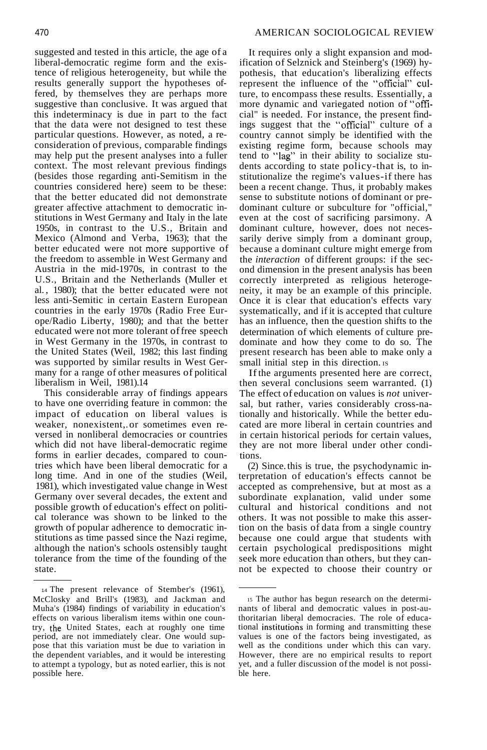suggested and tested in this article, the age of a liberal-democratic regime form and the existence of religious heterogeneity, but while the results generally support the hypotheses offered, by themselves they are perhaps more suggestive than conclusive. It was argued that this indeterminacy is due in part to the fact that the data were not designed to test these particular questions. However, as noted, a reconsideration of previous, comparable findings may help put the present analyses into a fuller context. The most relevant previous findings (besides those regarding anti-Semitism in the countries considered here) seem to be these: that the better educated did not demonstrate greater affective attachment to democratic institutions in West Germany and Italy in the late 1950s, in contrast to the U.S., Britain and Mexico (Almond and Verba, 1963); that the better educated were not more supportive of the freedom to assemble in West Germany and Austria in the mid-1970s, in contrast to the U.S., Britain and the Netherlands (Muller et al. , 1980); that the better educated were not less anti-Semitic in certain Eastern European countries in the early 1970s (Radio Free Europe/Radio Liberty, 1980); and that the better educated were not more tolerant offree speech in West Germany in the 1970s, in contrast to the United States (Weil, 1982; this last finding was supported by similar results in West Germany for a range of other measures of political liberalism in Weil, 1981).14

This considerable array of findings appears to have one overriding feature in common: the impact of education on liberal values is weaker, nonexistent,.or sometimes even reversed in nonliberal democracies or countries which did not have liberal-democratic regime forms in earlier decades, compared to countries which have been liberal democratic for a long time. And in one of the studies (Weil, 1981), which investigated value change in West Germany over several decades, the extent and possible growth of education's effect on political tolerance was shown to be linked to the growth of popular adherence to democratic institutions as time passed since the Nazi regime, although the nation's schools ostensibly taught tolerance from the time of the founding of the state.

It requires only a slight expansion and modification of Selznick and Steinberg's (1969) hypothesis, that education's liberalizing effects represent the influence of the "official" culture, to encompass these results. Essentially, a more dynamic and variegated notion of "official" is needed. For instance, the present findings suggest that the "official" culture of a country cannot simply be identified with the existing regime form, because schools may tend to "lag" in their ability to socialize students according to state policy-that is, to institutionalize the regime's values-if there has been a recent change. Thus, it probably makes sense to substitute notions of dominant or predominant culture or subculture for "official," even at the cost of sacrificing parsimony. A dominant culture, however, does not necessarily derive simply from a dominant group, because a dominant culture might emerge from the *interaction* of different groups: if the second dimension in the present analysis has been correctly interpreted as religious heterogeneity, it may be an example of this principle. Once it is clear that education's effects vary systematically, and if it is accepted that culture has an influence, then the question shifts to the determination of which elements of culture predominate and how they come to do so. The present research has been able to make only a small initial step in this direction. Is

Ifthe arguments presented here are correct, then several conclusions seem warranted. (1) The effect of education on values is *not* universal, but rather, varies considerably cross-nationally and historically. While the better educated are more liberal in certain countries and in certain historical periods for certain values, they are not more liberal under other conditions.

(2) Since.this is true, the psychodynamic interpretation of education's effects cannot be accepted as comprehensive, but at most as a subordinate explanation, valid under some cultural and historical conditions and not others. It was not possible to make this assertion on the basis of data from a single country because one could argue that students with certain psychological predispositions might seek more education than others, but they cannot be expected to choose their country or

<sup>14</sup> The present relevance of Stember's (1961), McClosky and Brill's (1983), and Jackman and Muha's (1984) findings of variability in education's effects on various liberalism items within one country, the United States, each at roughly one time period, are not immediately clear. One would suppose that this variation must be due to variation in the dependent variables, and it would be interesting to attempt a typology, but as noted earlier, this is not possible here.

<sup>15</sup> The author has begun research on the determinants of liberal and democratic values in post-authoritarian liberal democracies. The role of educational institutions in forming and transmitting these values is one of the factors being investigated, as well as the conditions under which this can vary. However, there are no empirical results to report yet, and a fuller discussion of the model is not possible here.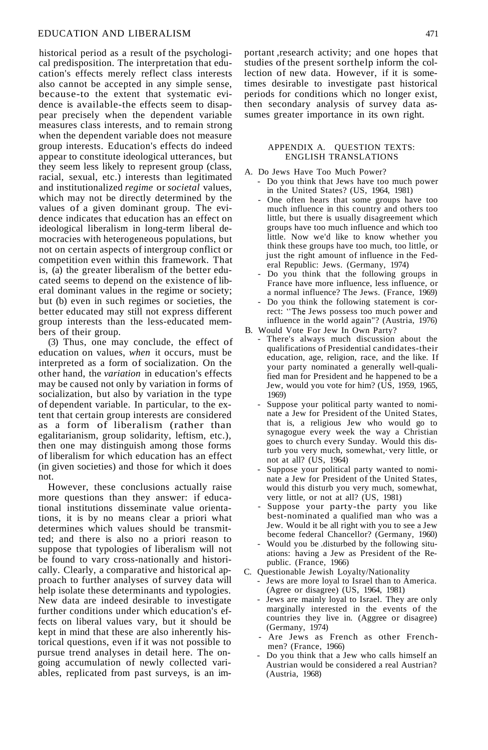## EDUCATION AND LIBERALISM

historical period as a result of the psychological predisposition. The interpretation that education's effects merely reflect class interests also cannot be accepted in any simple sense, because-to the extent that systematic evidence is available-the effects seem to disappear precisely when the dependent variable measures class interests, and to remain strong when the dependent variable does not measure group interests. Education's effects do indeed appear to constitute ideological utterances, but they seem less likely to represent group (class, racial, sexual, etc.) interests than legitimated and institutionalized *regime* or *societal* values, which may not be directly determined by the values of a given dominant group. The evidence indicates that education has an effect on ideological liberalism in long-term liberal democracies with heterogeneous populations, but not on certain aspects of intergroup conflict or competition even within this framework. That is,  $(a)$  the greater liberalism of the better educated seems to depend on the existence of liberal dominant values in the regime or society; but (b) even in such regimes or societies, the better educated may still not express different group interests than the less-educated members of their group.

(3) Thus, one may conclude, the effect of education on values, *when* it occurs, must be interpreted as a form of socialization. On the other hand, the *variation* in education's effects may be caused not only by variation in forms of socialization, but also by variation in the type of dependent variable. In particular, to the extent that certain group interests are considered as a form of liberalism (rather than egalitarianism, group solidarity, leftism, etc.), then one may distinguish among those forms of liberalism for which education has an effect (in given societies) and those for which it does not.

However, these conclusions actually raise more questions than they answer: if educational institutions disseminate value orientations, it is by no means clear a priori what determines which values should be transmitted; and there is also no a priori reason to suppose that typologies of liberalism will not be found to vary cross-nationally and historically. Clearly, a comparative and historical approach to further analyses of survey data will help isolate these determinants and typologies. New data are indeed desirable to investigate further conditions under which education's effects on liberal values vary, but it should be kept in mind that these are also inherently historical questions, even if it was not possible to pursue trend analyses in detail here. The ongoing accumulation of newly collected variables, replicated from past surveys, is an important ,research activity; and one hopes that studies of the present sorthelp inform the collection of new data. However, if it is sometimes desirable to investigate past historical periods for conditions which no longer exist, then secondary analysis of survey data assumes greater importance in its own right.

#### APPENDIX A. QUESTION TEXTS: ENGLISH TRANSLATIONS

- A. Do Jews Have Too Much Power?
	- Do you think that Jews have too much power in the United States? (US, 1964, 1981)
	- One often hears that some groups have too much influence in this country and others too little, but there is usually disagreement which groups have too much influence and which too little. Now we'd like to know whether you think these groups have too much, too little, or just the right amount of influence in the Federal Republic: Jews. (Germany, 1974)
	- Do you think that the following groups in France have more influence, less influence, or a normal influence? The Jews. (France, 1969)
- Do you think the following statement is correct: "The Jews possess too much power and influence in the world again"? (Austria, 1976) B. Would Vote For Jew In Own Party?
- - There's always much discussion about the qualifications of Presidential candidates-their education, age, religion, race, and the like. If your party nominated a generally well-qualified man for President and he happened to be a Jew, would you vote for him? (US, 1959, 1965, 1969)
	- Suppose your political party wanted to nominate a Jew for President of the United States, that is, a religious Jew who would go to synagogue every week the way a Christian goes to church every Sunday. Would this disturb you very much, somewhat,· very little, or not at all? (US, 1964)
	- Suppose your political party wanted to nominate a Jew for President of the United States, would this disturb you very much, somewhat, very little, or not at all? (US, 1981)
	- Suppose your party-the party you like best-nominated a qualified man who was a Jew. Would it be all right with you to see a Jew become federal Chancellor? (Germany, 1960)
	- Would you be .disturbed by the following situations: having a Jew as President of the Republic. (France, 1966)
- C. Questionable Jewish Loyalty/Nationality
	- Jews are more loyal to Israel than to America. (Agree or disagree) (US, 1964, 1981)
	- Jews are mainly loyal to Israel. They are only marginally interested in the events of the countries they live in. (Aggree or disagree) (Germany, 1974)
	- Are Jews as French as other Frenchmen? (France, 1966)
	- Do you think that a Jew who calls himself an Austrian would be considered a real Austrian? (Austria, 1968)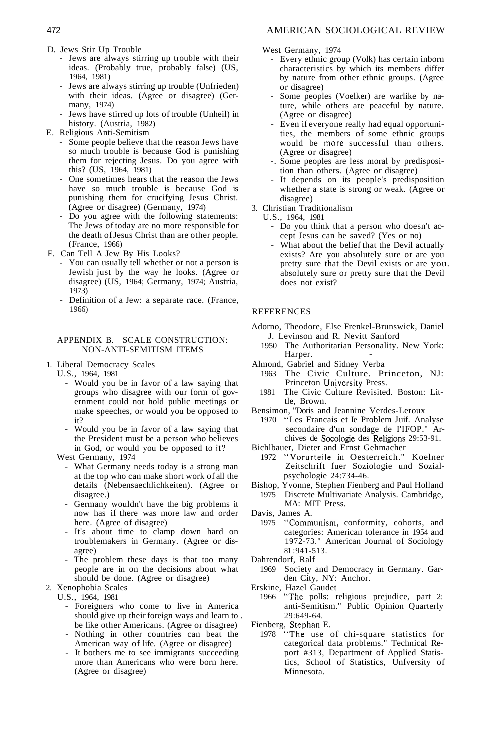- 
- D. Jews Stir Up Trouble<br>- Jews are always stirring up trouble with their ideas. (Probably true, probably false) (US, 1964, 1981)
	- Jews are always stirring up trouble (Unfrieden) with their ideas. (Agree or disagree) (Germany, 1974)
	- Jews have stirred up lots of trouble (Unheil) in history. (Austria, 1982)
- E. Religious Anti-Semitism
	- Some people believe that the reason Jews have so much trouble is because God is punishing them for rejecting Jesus. Do you agree with this? (US, 1964, 1981)
	- One sometimes hears that the reason the Jews have so much trouble is because God is punishing them for crucifying Jesus Christ. (Agree or disagree) (Germany, 1974)
	- Do you agree with the following statements: The Jews of today are no more responsible for the death ofJesus Christ than are other people. (France, 1966)
- F. Can Tell A Jew By His Looks?
	- You can usually tell whether or not a person is Jewish just by the way he looks. (Agree or disagree) (US, 1964; Germany, 1974; Austria, 1973)
	- Definition of a Jew: a separate race. (France, 1966)

#### APPENDIX B. SCALE CONSTRUCTION: NON-ANTI-SEMITISM ITEMS

- 1. Liberal Democracy Scales
	- U.S., 1964, 1981
		- Would you be in favor of a law saying that groups who disagree with our form of government could not hold public meetings or make speeches, or would you be opposed to it?
		- Would you be in favor of a law saying that the President must be a person who believes in God, or would you be opposed to it?
	- West Germany, 1974
		- What Germany needs today is a strong man at the top who can make short work of all the details (Nebensaechlichkeiten). (Agree or disagree.)
		- Germany wouldn't have the big problems it now has if there was more law and order here. (Agree of disagree)
		- It's about time to clamp down hard on troublemakers in Germany. (Agree or disagree)
		- The problem these days is that too many people are in on the decisions about what should be done. (Agree or disagree)
- 2. Xenophobia Scales

U.S., 1964, 1981

- Foreigners who come to live in America should give up their foreign ways and learn to . be like other Americans. (Agree or disagree)
- Nothing in other countries can beat the American way of life. (Agree or disagree)
- It bothers me to see immigrants succeeding more than Americans who were born here. (Agree or disagree)

West Germany, 1974

- Every ethnic group (Volk) has certain inborn characteristics by which its members differ by nature from other ethnic groups. (Agree or disagree)
- Some peoples (Voelker) are warlike by nature, while others are peaceful by nature. (Agree or disagree)
- Even if everyone really had equal opportunities, the members of some ethnic groups would be more successful than others. (Agree or disagree)
- -. Some peoples are less moral by predisposition than others. (Agree or disagree)
- It depends on its people's predisposition whether a state is strong or weak. (Agree or disagree)
- 3. Christian Traditionalism
	- U.S., 1964, 1981
		- Do you think that a person who doesn't accept Jesus can be saved? (Yes or no)
		- What about the belief that the Devil actually exists? Are you absolutely sure or are you pretty sure that the Devil exists or are you. absolutely sure or pretty sure that the Devil does not exist?

### REFERENCES

- Adorno, Theodore, Else Frenkel-Brunswick, Daniel J. Levinson and R. Nevitt Sanford
	- 1950 The Authoritarian Personality. New York: Harper.
- Almond, Gabriel and Sidney Verba
	- 1963 The Civic Culture. Princeton, NJ: Princeton University Press.
	- 1981 The Civic Culture Revisited. Boston: Little, Brown.
- Bensimon, "Doris and Jeannine Verdes-Leroux
	- 1970 "Les Francais et Ie Problem Juif. Analyse secondaire d'un sondage de I'IFOP." Archives de Socologie des Religions 29:53-91.
- Bichlbauer, Dieter and Ernst Gehmacher
	- 1972 "Vorurteile in Oesterreich." Koelner Zeitschrift fuer Soziologie und Sozialpsychologie 24:734-46.
- Bishop, Yvonne, Stephen Fienberg and Paul Holland 1975 Discrete Multivariate Analysis. Cambridge, MA: MIT Press.
- Davis, James A.
	- 1975 "Communism, conformity, cohorts, and categories: American tolerance in 1954 and 1972-73." American Journal of Sociology 81 :941-513.
- Dahrendorf, Ralf
	- 1969 Society and Democracy in Germany. Garden City, NY: Anchor.
- Erskine, Hazel Gaudet
	- 1966 "The polls: religious prejudice, part 2: anti-Semitism." Public Opinion Quarterly 29:649-64.
- Fienberg, Stephan E.
	- 1978 "The use of chi-square statistics for categorical data problems." Technical Report #313, Department of Applied Statistics, School of Statistics, Unfversity of Minnesota.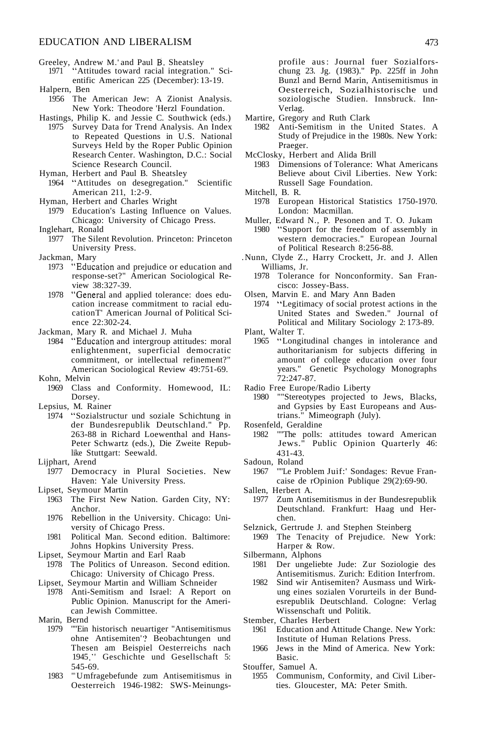- Greeley, Andrew M.' and Paul B. Sheatsley
- 1971 "Attitudes toward racial integration." Scientific American 225 (December): 13-19. Halpern, Ben
- 1956 The American Jew: A Zionist Analysis. New York: Theodore 'Herzl Foundation.
- Hastings, Philip K. and Jessie C. Southwick (eds.)
- 1975 Survey Data for Trend Analysis. An Index to Repeated Questions in U.S. National Surveys Held by the Roper Public Opinion Research Center. Washington, D.C.: Social Science Research Council.
- Hyman, Herbert and Paul B. Sheatsley 1964 "Attitudes on desegregation." Scientific American 211, 1:2-9.
- Hyman, Herbert and Charles Wright
- 1979 Education's Lasting Influence on Values. Chicago: University of Chicago Press.
- Inglehart, Ronald
	- 1977 The Silent Revolution. Princeton: Princeton University Press.
- Jackman, Mary
	- 1973 "Education and prejudice or education and response-set?" American Sociological Review 38:327-39.
	- 1978 "General and applied tolerance: does education increase commitment to racial educationT' American Journal of Political Science 22:302-24.
- Jackman, Mary R. and Michael J. Muha
	- 1984 "Education and intergroup attitudes: moral enlightenment, superficial democratic commitment, or intellectual refinement?" American Sociological Review 49:751-69.
- Kohn, Melvin
	- 1969 Class and Conformity. Homewood, IL: Dorsey.
- Lepsius, M. Rainer<br>1974 "Sozialstru
- "Sozialstructur und soziale Schichtung in der Bundesrepublik Deutschland." Pp. 263-88 in Richard Loewenthal and Hans-Peter Schwartz (eds.), Die Zweite Republike Stuttgart: Seewald.
- Lijphart, Arend
	- 1977 Democracy in Plural Societies. New Haven: Yale University Press.
- Lipset, Seymour Martin
	- 1963 The First New Nation. Garden City, NY: Anchor.
	- 1976 Rebellion in the University. Chicago: University of Chicago Press.
	- 1981 Political Man. Second edition. Baltimore: Johns Hopkins University Press.
- Lipset, Seymour Martin and Earl Raab
	- 1978 The Politics of Unreason. Second edition. Chicago: University of Chicago Press.
- Lipset, Seymour Martin and William Schneider
- 1978 Anti-Semitism and Israel: A Report on Public Opinion. Manuscript for the American Jewish Committee.
- Marin, Bernd
	- 1979 ""Ein historisch neuartiger "Antisemitismus ohne Antisemiten'? Beobachtungen und Thesen am Beispiel Oesterreichs nach 1945." Geschichte und Gesellschaft 5: 545-69.
	- 1983 "" Umfragebefunde zum Antisemitismus in Oesterreich 1946-1982: SWS-Meinungs-

profile aus: Journal fuer Sozialforschung 23. Jg. (1983)." Pp. 225ff in John Bunzl and Bernd Marin, Antisemitismus in Oesterreich, Sozialhistorische und soziologische Studien. Innsbruck. Inn-Verlag.

- Martire, Gregory and Ruth Clark
	- 1982 Anti-Semitism in the United States. A Study of Prejudice in the 1980s. New York: Praeger.
- McClosky, Herbert and Alida Brill
	- 1983 Dimensions of Tolerance: What Americans Believe about Civil Liberties. New York: Russell Sage Foundation.
- Mitchell, B. R.
	- 1978 European Historical Statistics 1750-1970. London: Macmillan.
- Muller, Edward N., P. Pesonen and T. O. Jukam "Support for the freedom of assembly in western democracies." European Journal of Political Research 8:256-88.
- .Nunn, Clyde Z., Harry Crockett, Jr. and J. Allen Williams, Jr.<br>1978 Tolerano
	- Tolerance for Nonconformity. San Francisco: Jossey-Bass.
- Olsen, Marvin E. and Mary Ann Baden
- 1974 "Legitimacy of social protest actions in the United States and Sweden." Journal of Political and Military Sociology 2: 173-89.
- Plant, Walter T.
	- 1965 "Longitudinal changes in intolerance and authoritarianism for subjects differing in amount of college education over four years." Genetic Psychology Monographs 72:247-87.
- Radio Free Europe/Radio Liberty<br>1980 ""Stereotypes projected t
	- ""Stereotypes projected to Jews, Blacks, and Gypsies by East Europeans and Austrians." Mimeograph (July).
- Rosenfeld, Geraldine
	- 1982 ""The polls: attitudes toward American Jews." Public Opinion Quarterly 46: 431-43.
- Sadoun, Roland
- 1967 ""Le Problem Juif:' Sondages: Revue Francaise de rOpinion Publique 29(2):69-90.
- Sallen, Herbert A.
	- 1977 Zum Antisemitismus in der Bundesrepublik Deutschland. Frankfurt: Haag und Herchen.
- Selznick, Gertrude J. and Stephen Steinberg
	- 1969 The Tenacity of Prejudice. New York: Harper & Row.
- Silbermann, Alphons
	- 1981 Der ungeliebte Jude: Zur Soziologie des Antisemitismus. Zurich: Edition Interfrom.
	- 1982 Sind wir Antisemiten? Ausmass und Wirkung eines sozialen Vorurteils in der Bundesrepublik Deutschland. Cologne: Verlag Wissenschaft und Politik.
- Stember, Charles Herbert
	- 1961 Education and Attitude Change. New York: Institute of Human Relations Press.
	- 1966 Jews in the Mind of America. New York: Basic.
- Stouffer, Samuel A.
	- 1955 Communism, Conformity, and Civil Liberties. Gloucester, MA: Peter Smith.